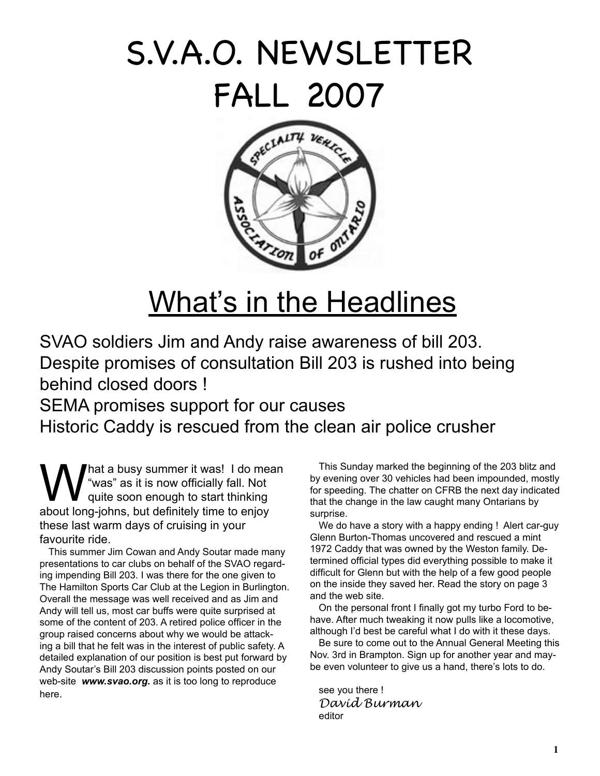# S.V.A.O. NEWSLETTER FALL 2007



## What's in the Headlines

SVAO soldiers Jim and Andy raise awareness of bill 203. Despite promises of consultation Bill 203 is rushed into being behind closed doors !

SEMA promises support for our causes

Historic Caddy is rescued from the clean air police crusher

What a busy summer it was! I do mean<br>"was" as it is now officially fall. Not<br>guite soon enough to start thinking "was" as it is now officially fall. Not quite soon enough to start thinking about long-johns, but definitely time to enjoy these last warm days of cruising in your favourite ride.

This summer Jim Cowan and Andy Soutar made many presentations to car clubs on behalf of the SVAO regarding impending Bill 203. I was there for the one given to The Hamilton Sports Car Club at the Legion in Burlington. Overall the message was well received and as Jim and Andy will tell us, most car buffs were quite surprised at some of the content of 203. A retired police officer in the group raised concerns about why we would be attacking a bill that he felt was in the interest of public safety. A detailed explanation of our position is best put forward by Andy Soutar's Bill 203 discussion points posted on our web-site *www.svao.org.* as it is too long to reproduce here.

This Sunday marked the beginning of the 203 blitz and by evening over 30 vehicles had been impounded, mostly for speeding. The chatter on CFRB the next day indicated that the change in the law caught many Ontarians by surprise.

We do have a story with a happy ending ! Alert car-guy Glenn Burton-Thomas uncovered and rescued a mint 1972 Caddy that was owned by the Weston family. Determined official types did everything possible to make it difficult for Glenn but with the help of a few good people on the inside they saved her. Read the story on page 3 and the web site.

On the personal front I finally got my turbo Ford to behave. After much tweaking it now pulls like a locomotive, although I'd best be careful what I do with it these days.

Be sure to come out to the Annual General Meeting this Nov. 3rd in Brampton. Sign up for another year and maybe even volunteer to give us a hand, there's lots to do.

see you there ! *David Burman* editor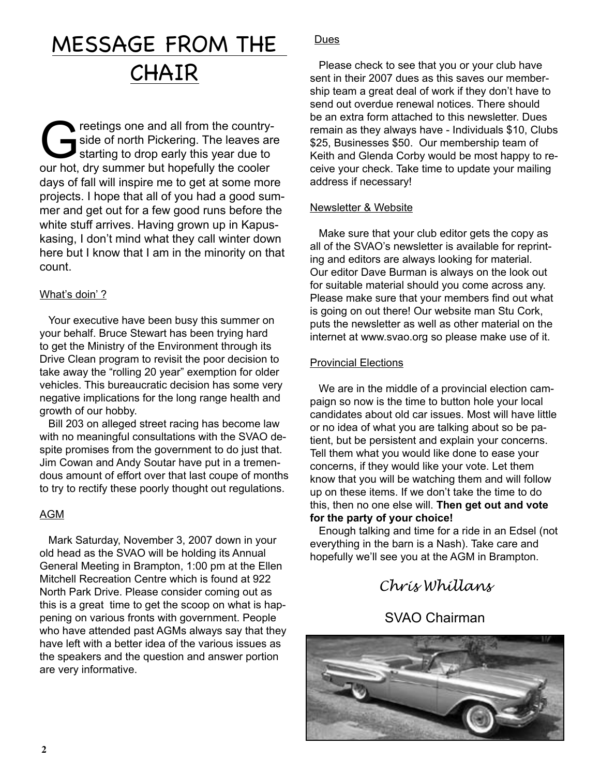## MESSAGE FROM THE CHAIR

Greetings one and all from the country-<br>Side of north Pickering. The leaves and<br>starting to drop early this year due to side of north Pickering. The leaves are starting to drop early this year due to our hot, dry summer but hopefully the cooler days of fall will inspire me to get at some more projects. I hope that all of you had a good summer and get out for a few good runs before the white stuff arrives. Having grown up in Kapuskasing, I don't mind what they call winter down here but I know that I am in the minority on that count.

#### What's doin' ?

Your executive have been busy this summer on your behalf. Bruce Stewart has been trying hard to get the Ministry of the Environment through its Drive Clean program to revisit the poor decision to take away the "rolling 20 year" exemption for older vehicles. This bureaucratic decision has some very negative implications for the long range health and growth of our hobby.

Bill 203 on alleged street racing has become law with no meaningful consultations with the SVAO despite promises from the government to do just that. Jim Cowan and Andy Soutar have put in a tremendous amount of effort over that last coupe of months to try to rectify these poorly thought out regulations.

#### AGM

Mark Saturday, November 3, 2007 down in your old head as the SVAO will be holding its Annual General Meeting in Brampton, 1:00 pm at the Ellen Mitchell Recreation Centre which is found at 922 North Park Drive. Please consider coming out as this is a great time to get the scoop on what is happening on various fronts with government. People who have attended past AGMs always say that they have left with a better idea of the various issues as the speakers and the question and answer portion are very informative.

#### Dues

Please check to see that you or your club have sent in their 2007 dues as this saves our membership team a great deal of work if they don't have to send out overdue renewal notices. There should be an extra form attached to this newsletter. Dues remain as they always have - Individuals \$10, Clubs \$25, Businesses \$50. Our membership team of Keith and Glenda Corby would be most happy to receive your check. Take time to update your mailing address if necessary!

#### Newsletter & Website

Make sure that your club editor gets the copy as all of the SVAO's newsletter is available for reprinting and editors are always looking for material. Our editor Dave Burman is always on the look out for suitable material should you come across any. Please make sure that your members find out what is going on out there! Our website man Stu Cork, puts the newsletter as well as other material on the internet at www.svao.org so please make use of it.

#### Provincial Elections

We are in the middle of a provincial election campaign so now is the time to button hole your local candidates about old car issues. Most will have little or no idea of what you are talking about so be patient, but be persistent and explain your concerns. Tell them what you would like done to ease your concerns, if they would like your vote. Let them know that you will be watching them and will follow up on these items. If we don't take the time to do this, then no one else will. **Then get out and vote for the party of your choice!**

Enough talking and time for a ride in an Edsel (not everything in the barn is a Nash). Take care and hopefully we'll see you at the AGM in Brampton.

### *Chris Whillans*

### SVAO Chairman

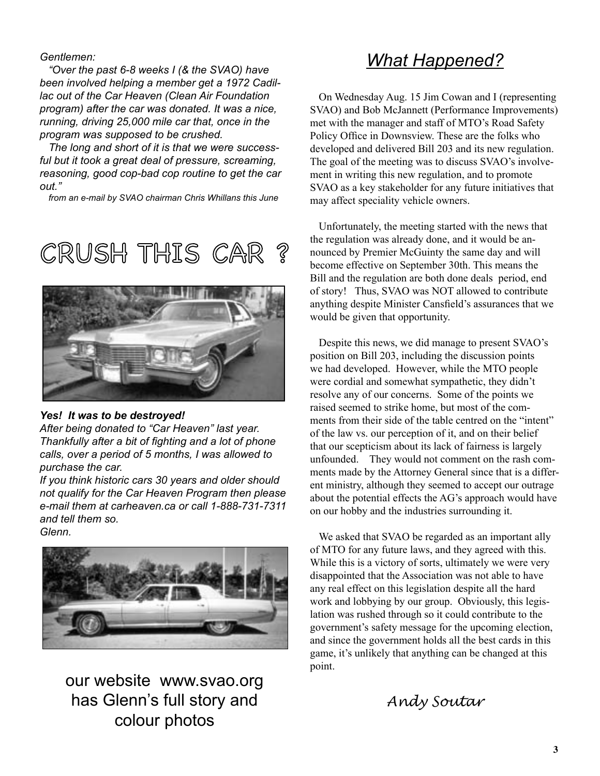*Gentlemen:*

*"Over the past 6-8 weeks I (& the SVAO) have been involved helping a member get a 1972 Cadillac out of the Car Heaven (Clean Air Foundation program) after the car was donated. It was a nice, running, driving 25,000 mile car that, once in the program was supposed to be crushed.*

*The long and short of it is that we were successful but it took a great deal of pressure, screaming, reasoning, good cop-bad cop routine to get the car out."*

*from an e-mail by SVAO chairman Chris Whillans this June*





#### *Yes! It was to be destroyed!*

*After being donated to "Car Heaven" last year. Thankfully after a bit of fighting and a lot of phone calls, over a period of 5 months, I was allowed to purchase the car.*

*If you think historic cars 30 years and older should not qualify for the Car Heaven Program then please e-mail them at carheaven.ca or call 1-888-731-7311 and tell them so. Glenn.*



our website www.svao.org has Glenn's full story and colour photos

### *What Happened?*

On Wednesday Aug. 15 Jim Cowan and I (representing SVAO) and Bob McJannett (Performance Improvements) met with the manager and staff of MTO's Road Safety Policy Office in Downsview. These are the folks who developed and delivered Bill 203 and its new regulation. The goal of the meeting was to discuss SVAO's involvement in writing this new regulation, and to promote SVAO as a key stakeholder for any future initiatives that may affect speciality vehicle owners.

Unfortunately, the meeting started with the news that the regulation was already done, and it would be announced by Premier McGuinty the same day and will become effective on September 30th. This means the Bill and the regulation are both done deals period, end of story! Thus, SVAO was NOT allowed to contribute anything despite Minister Cansfield's assurances that we would be given that opportunity.

Despite this news, we did manage to present SVAO's position on Bill 203, including the discussion points we had developed. However, while the MTO people were cordial and somewhat sympathetic, they didn't resolve any of our concerns. Some of the points we raised seemed to strike home, but most of the comments from their side of the table centred on the "intent" of the law vs. our perception of it, and on their belief that our scepticism about its lack of fairness is largely unfounded. They would not comment on the rash comments made by the Attorney General since that is a different ministry, although they seemed to accept our outrage about the potential effects the AG's approach would have on our hobby and the industries surrounding it.

We asked that SVAO be regarded as an important ally of MTO for any future laws, and they agreed with this. While this is a victory of sorts, ultimately we were very disappointed that the Association was not able to have any real effect on this legislation despite all the hard work and lobbying by our group. Obviously, this legislation was rushed through so it could contribute to the government's safety message for the upcoming election, and since the government holds all the best cards in this game, it's unlikely that anything can be changed at this point.

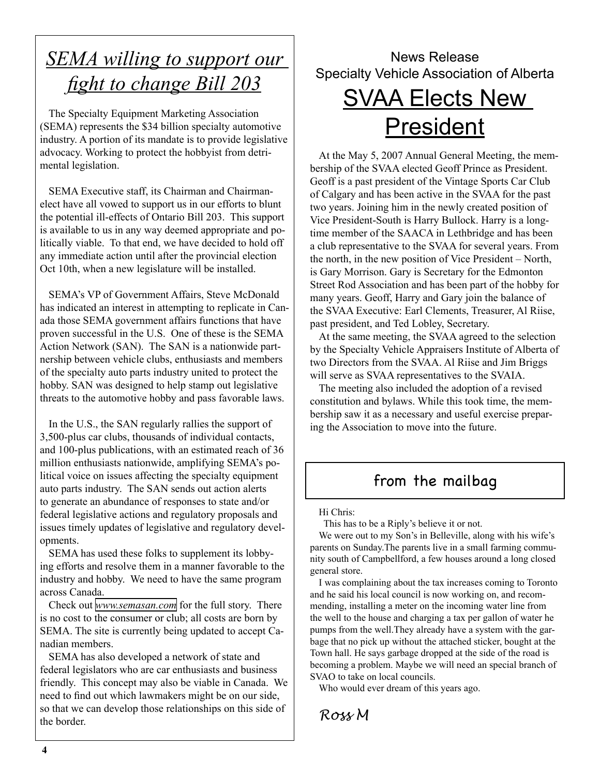## *SEMA willing to support our fight to change Bill 203*

The Specialty Equipment Marketing Association (SEMA) represents the \$34 billion specialty automotive industry. A portion of its mandate is to provide legislative advocacy. Working to protect the hobbyist from detrimental legislation.

SEMA Executive staff, its Chairman and Chairmanelect have all vowed to support us in our efforts to blunt the potential ill-effects of Ontario Bill 203. This support is available to us in any way deemed appropriate and politically viable. To that end, we have decided to hold off any immediate action until after the provincial election Oct 10th, when a new legislature will be installed.

SEMA's VP of Government Affairs, Steve McDonald has indicated an interest in attempting to replicate in Canada those SEMA government affairs functions that have proven successful in the U.S. One of these is the SEMA Action Network (SAN). The SAN is a nationwide partnership between vehicle clubs, enthusiasts and members of the specialty auto parts industry united to protect the hobby. SAN was designed to help stamp out legislative threats to the automotive hobby and pass favorable laws.

In the U.S., the SAN regularly rallies the support of 3,500-plus car clubs, thousands of individual contacts, and 100-plus publications, with an estimated reach of 36 million enthusiasts nationwide, amplifying SEMA's political voice on issues affecting the specialty equipment auto parts industry. The SAN sends out action alerts to generate an abundance of responses to state and/or federal legislative actions and regulatory proposals and issues timely updates of legislative and regulatory developments.

SEMA has used these folks to supplement its lobbying efforts and resolve them in a manner favorable to the industry and hobby. We need to have the same program across Canada.

Check out *[www.semasan.com](http://www.semasan.com)* for the full story. There is no cost to the consumer or club; all costs are born by SEMA. The site is currently being updated to accept Canadian members.

SEMA has also developed a network of state and federal legislators who are car enthusiasts and business friendly. This concept may also be viable in Canada. We need to find out which lawmakers might be on our side, so that we can develop those relationships on this side of the border.

### News Release Specialty Vehicle Association of Alberta

## SVAA Elects New **President**

At the May 5, 2007 Annual General Meeting, the membership of the SVAA elected Geoff Prince as President. Geoff is a past president of the Vintage Sports Car Club of Calgary and has been active in the SVAA for the past two years. Joining him in the newly created position of Vice President-South is Harry Bullock. Harry is a longtime member of the SAACA in Lethbridge and has been a club representative to the SVAA for several years. From the north, in the new position of Vice President – North, is Gary Morrison. Gary is Secretary for the Edmonton Street Rod Association and has been part of the hobby for many years. Geoff, Harry and Gary join the balance of the SVAA Executive: Earl Clements, Treasurer, Al Riise, past president, and Ted Lobley, Secretary.

At the same meeting, the SVAA agreed to the selection by the Specialty Vehicle Appraisers Institute of Alberta of two Directors from the SVAA. Al Riise and Jim Briggs will serve as SVAA representatives to the SVAIA.

The meeting also included the adoption of a revised constitution and bylaws. While this took time, the membership saw it as a necessary and useful exercise preparing the Association to move into the future.

### from the mailbag

Hi Chris:

This has to be a Riply's believe it or not.

We were out to my Son's in Belleville, along with his wife's parents on Sunday.The parents live in a small farming community south of Campbellford, a few houses around a long closed general store.

I was complaining about the tax increases coming to Toronto and he said his local council is now working on, and recommending, installing a meter on the incoming water line from the well to the house and charging a tax per gallon of water he pumps from the well.They already have a system with the garbage that no pick up without the attached sticker, bought at the Town hall. He says garbage dropped at the side of the road is becoming a problem. Maybe we will need an special branch of SVAO to take on local councils.

Who would ever dream of this years ago.

*Ross M*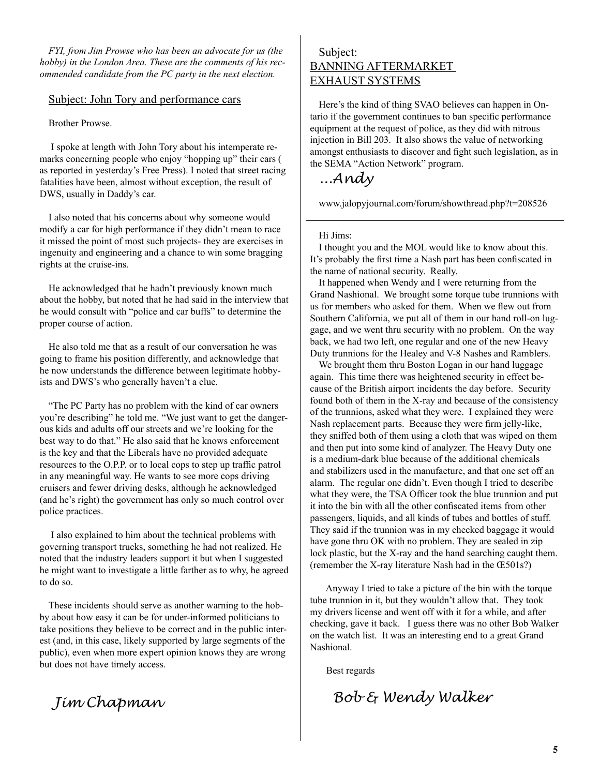*FYI, from Jim Prowse who has been an advocate for us (the hobby) in the London Area. These are the comments of his recommended candidate from the PC party in the next election.*

#### Subject: John Tory and performance cars

Brother Prowse.

 I spoke at length with John Tory about his intemperate remarks concerning people who enjoy "hopping up" their cars ( as reported in yesterday's Free Press). I noted that street racing fatalities have been, almost without exception, the result of DWS, usually in Daddy's car.

I also noted that his concerns about why someone would modify a car for high performance if they didn't mean to race it missed the point of most such projects- they are exercises in ingenuity and engineering and a chance to win some bragging rights at the cruise-ins.

He acknowledged that he hadn't previously known much about the hobby, but noted that he had said in the interview that he would consult with "police and car buffs" to determine the proper course of action.

He also told me that as a result of our conversation he was going to frame his position differently, and acknowledge that he now understands the difference between legitimate hobbyists and DWS's who generally haven't a clue.

"The PC Party has no problem with the kind of car owners you're describing" he told me. "We just want to get the dangerous kids and adults off our streets and we're looking for the best way to do that." He also said that he knows enforcement is the key and that the Liberals have no provided adequate resources to the O.P.P. or to local cops to step up traffic patrol in any meaningful way. He wants to see more cops driving cruisers and fewer driving desks, although he acknowledged (and he's right) the government has only so much control over police practices.

 I also explained to him about the technical problems with governing transport trucks, something he had not realized. He noted that the industry leaders support it but when I suggested he might want to investigate a little farther as to why, he agreed to do so.

These incidents should serve as another warning to the hobby about how easy it can be for under-informed politicians to take positions they believe to be correct and in the public interest (and, in this case, likely supported by large segments of the public), even when more expert opinion knows they are wrong but does not have timely access.

 *Jim Chapman*

#### Subject: BANNING AFTERMARKET EXHAUST SYSTEMS

Here's the kind of thing SVAO believes can happen in Ontario if the government continues to ban specific performance equipment at the request of police, as they did with nitrous injection in Bill 203. It also shows the value of networking amongst enthusiasts to discover and fight such legislation, as in the SEMA "Action Network" program.

*...Andy* 

www.jalopyjournal.com/forum/showthread.php?t=208526

#### Hi Jims:

I thought you and the MOL would like to know about this. It's probably the first time a Nash part has been confiscated in the name of national security. Really.

It happened when Wendy and I were returning from the Grand Nashional. We brought some torque tube trunnions with us for members who asked for them. When we flew out from Southern California, we put all of them in our hand roll-on luggage, and we went thru security with no problem. On the way back, we had two left, one regular and one of the new Heavy Duty trunnions for the Healey and V-8 Nashes and Ramblers.

We brought them thru Boston Logan in our hand luggage again. This time there was heightened security in effect because of the British airport incidents the day before. Security found both of them in the X-ray and because of the consistency of the trunnions, asked what they were. I explained they were Nash replacement parts. Because they were firm jelly-like, they sniffed both of them using a cloth that was wiped on them and then put into some kind of analyzer. The Heavy Duty one is a medium-dark blue because of the additional chemicals and stabilizers used in the manufacture, and that one set off an alarm. The regular one didn't. Even though I tried to describe what they were, the TSA Officer took the blue trunnion and put it into the bin with all the other confiscated items from other passengers, liquids, and all kinds of tubes and bottles of stuff. They said if the trunnion was in my checked baggage it would have gone thru OK with no problem. They are sealed in zip lock plastic, but the X-ray and the hand searching caught them. (remember the X-ray literature Nash had in the Œ501s?)

 Anyway I tried to take a picture of the bin with the torque tube trunnion in it, but they wouldn't allow that. They took my drivers license and went off with it for a while, and after checking, gave it back. I guess there was no other Bob Walker on the watch list. It was an interesting end to a great Grand Nashional.

Best regards

 *Bob & Wendy Walker*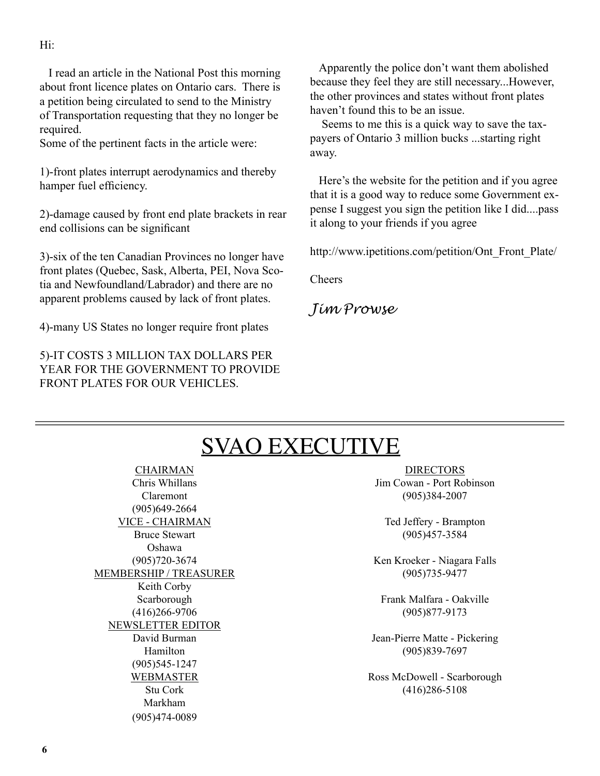I read an article in the National Post this morning about front licence plates on Ontario cars. There is a petition being circulated to send to the Ministry of Transportation requesting that they no longer be required.

Some of the pertinent facts in the article were:

1)-front plates interrupt aerodynamics and thereby hamper fuel efficiency.

2)-damage caused by front end plate brackets in rear end collisions can be significant

3)-six of the ten Canadian Provinces no longer have front plates (Quebec, Sask, Alberta, PEI, Nova Scotia and Newfoundland/Labrador) and there are no apparent problems caused by lack of front plates.

4)-many US States no longer require front plates

5)-IT COSTS 3 MILLION TAX DOLLARS PER YEAR FOR THE GOVERNMENT TO PROVIDE FRONT PLATES FOR OUR VEHICLES.

Apparently the police don't want them abolished because they feel they are still necessary...However, the other provinces and states without front plates haven't found this to be an issue.

 Seems to me this is a quick way to save the taxpayers of Ontario 3 million bucks ...starting right away.

Here's the website for the petition and if you agree that it is a good way to reduce some Government expense I suggest you sign the petition like I did....pass it along to your friends if you agree

http://www.ipetitions.com/petition/Ont\_Front\_Plate/

Cheers

*Jim Prowse*

## SVAO EXECUTIVE

CHAIRMAN Chris Whillans Claremont (905)649-2664 VICE - CHAIRMAN Bruce Stewart Oshawa (905)720-3674 MEMBERSHIP / TREASURER Keith Corby Scarborough (416)266-9706 NEWSLETTER EDITOR David Burman Hamilton (905)545-1247 WEBMASTER Stu Cork Markham (905)474-0089

DIRECTORS Jim Cowan - Port Robinson (905)384-2007

Ted Jeffery - Brampton (905)457-3584

Ken Kroeker - Niagara Falls (905)735-9477

Frank Malfara - Oakville (905)877-9173

Jean-Pierre Matte - Pickering (905)839-7697

Ross McDowell - Scarborough (416)286-5108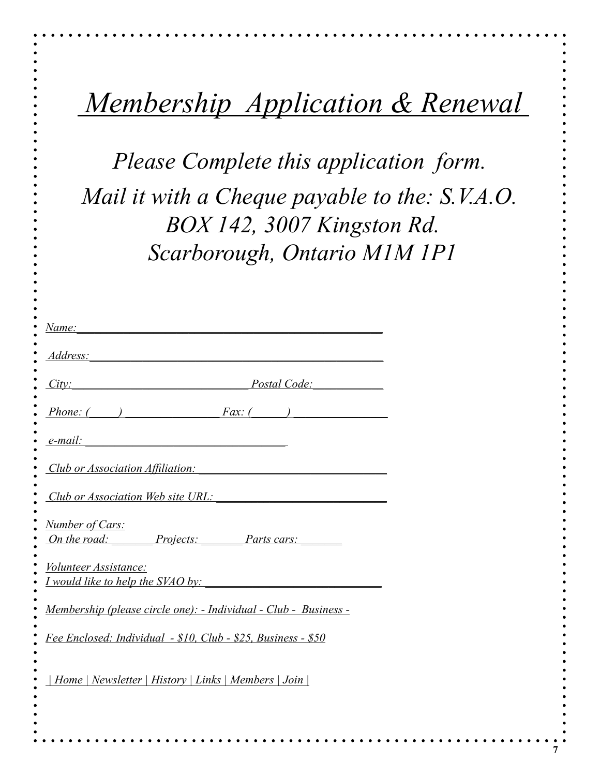|  | Membership Application & Renewal |  |
|--|----------------------------------|--|
|  |                                  |  |

*Please Complete this application form. Mail it with a Cheque payable to the: S.V.A.O. BOX 142, 3007 Kingston Rd. Scarborough, Ontario M1M 1P1*

| Address: 1997          |                                                                                                                     |
|------------------------|---------------------------------------------------------------------------------------------------------------------|
|                        | Postal Code: New York Code<br>City:                                                                                 |
|                        | $\frac{Phone: ($ $)$ $\frac{-Fax: ($ $)$ $\frac{1}{x}$                                                              |
| $e$ -mail:             | <u> 1989 - Johann Barn, mars eta bainar eta baina eta baina eta baina eta baina eta baina eta baina eta baina e</u> |
|                        | Club or Association Affiliation:                                                                                    |
|                        | Club or Association Web site URL:                                                                                   |
| <b>Number of Cars:</b> | <u>On the road: Projects: Parts cars: Parts cars:</u>                                                               |
| Volunteer Assistance:  | <u>I would like to help the SVAO by:</u>                                                                            |
|                        | Membership (please circle one): - Individual - Club - Business -                                                    |
|                        | Fee Enclosed: Individual - \$10, Club - \$25, Business - \$50                                                       |
|                        | Home   Newsletter   History   Links   Members   Join                                                                |